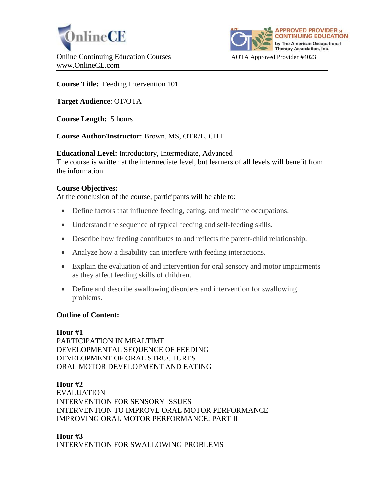



# **Course Title:** Feeding Intervention 101

**Target Audience**: OT/OTA

**Course Length:** 5 hours

**Course Author/Instructor:** Brown, MS, OTR/L, CHT

**Educational Level:** Introductory, Intermediate, Advanced The course is written at the intermediate level, but learners of all levels will benefit from the information.

# **Course Objectives:**

At the conclusion of the course, participants will be able to:

- Define factors that influence feeding, eating, and mealtime occupations.
- Understand the sequence of typical feeding and self-feeding skills.
- Describe how feeding contributes to and reflects the parent-child relationship.
- Analyze how a disability can interfere with feeding interactions.
- Explain the evaluation of and intervention for oral sensory and motor impairments as they affect feeding skills of children.
- Define and describe swallowing disorders and intervention for swallowing problems.

#### **Outline of Content:**

#### **Hour #1**

PARTICIPATION IN MEALTIME DEVELOPMENTAL SEQUENCE OF FEEDING DEVELOPMENT OF ORAL STRUCTURES ORAL MOTOR DEVELOPMENT AND EATING

#### **Hour #2**

EVALUATION INTERVENTION FOR SENSORY ISSUES INTERVENTION TO IMPROVE ORAL MOTOR PERFORMANCE IMPROVING ORAL MOTOR PERFORMANCE: PART II

**Hour #3**

INTERVENTION FOR SWALLOWING PROBLEMS